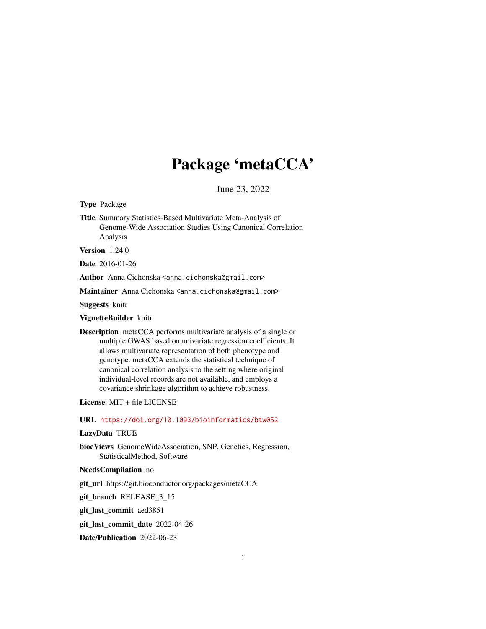# Package 'metaCCA'

June 23, 2022

Type Package

Title Summary Statistics-Based Multivariate Meta-Analysis of Genome-Wide Association Studies Using Canonical Correlation Analysis

Version 1.24.0

Date 2016-01-26

Author Anna Cichonska <anna.cichonska@gmail.com>

Maintainer Anna Cichonska <anna.cichonska@gmail.com>

Suggests knitr

VignetteBuilder knitr

Description metaCCA performs multivariate analysis of a single or multiple GWAS based on univariate regression coefficients. It allows multivariate representation of both phenotype and genotype. metaCCA extends the statistical technique of canonical correlation analysis to the setting where original individual-level records are not available, and employs a covariance shrinkage algorithm to achieve robustness.

License MIT + file LICENSE

URL <https://doi.org/10.1093/bioinformatics/btw052>

# LazyData TRUE

biocViews GenomeWideAssociation, SNP, Genetics, Regression, StatisticalMethod, Software

NeedsCompilation no

git\_url https://git.bioconductor.org/packages/metaCCA

git\_branch RELEASE\_3\_15

git\_last\_commit aed3851

git\_last\_commit\_date 2022-04-26

Date/Publication 2022-06-23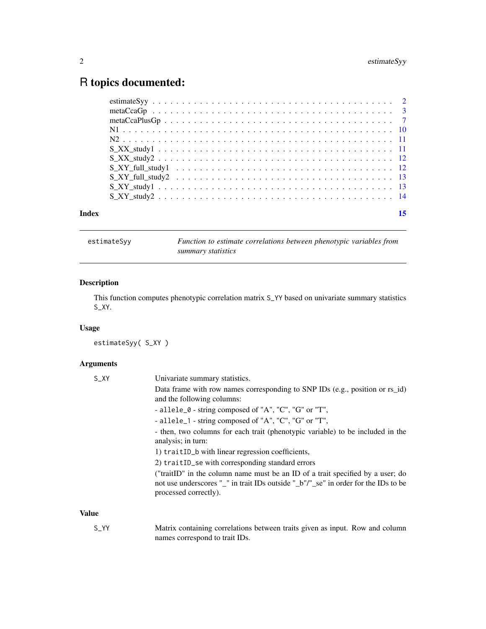# <span id="page-1-0"></span>R topics documented:

| Index | 15 |
|-------|----|
|       |    |
|       |    |
|       |    |
|       |    |
|       |    |
|       |    |
|       |    |
|       |    |
|       |    |
|       |    |
|       |    |

estimateSyy *Function to estimate correlations between phenotypic variables from summary statistics*

# Description

This function computes phenotypic correlation matrix S\_YY based on univariate summary statistics S\_XY.

# Usage

estimateSyy( S\_XY )

# Arguments

| $S_{X}$      | Univariate summary statistics.                                                                                                                                                                |
|--------------|-----------------------------------------------------------------------------------------------------------------------------------------------------------------------------------------------|
|              | Data frame with row names corresponding to SNP IDs (e.g., position or rs_id)<br>and the following columns:                                                                                    |
|              | - allele_ $\theta$ - string composed of "A", "C", "G" or "T",                                                                                                                                 |
|              | - allele_1 - string composed of "A", "C", "G" or "T",                                                                                                                                         |
|              | - then, two columns for each trait (phenotypic variable) to be included in the<br>analysis; in turn:                                                                                          |
|              | 1) traitID_b with linear regression coefficients,                                                                                                                                             |
|              | 2) traitID_se with corresponding standard errors                                                                                                                                              |
|              | ("traitID" in the column name must be an ID of a trait specified by a user; do<br>not use underscores "_" in trait IDs outside "_b"/"_se" in order for the IDs to be<br>processed correctly). |
| <b>Value</b> |                                                                                                                                                                                               |
|              |                                                                                                                                                                                               |

S\_YY Matrix containing correlations between traits given as input. Row and column names correspond to trait IDs.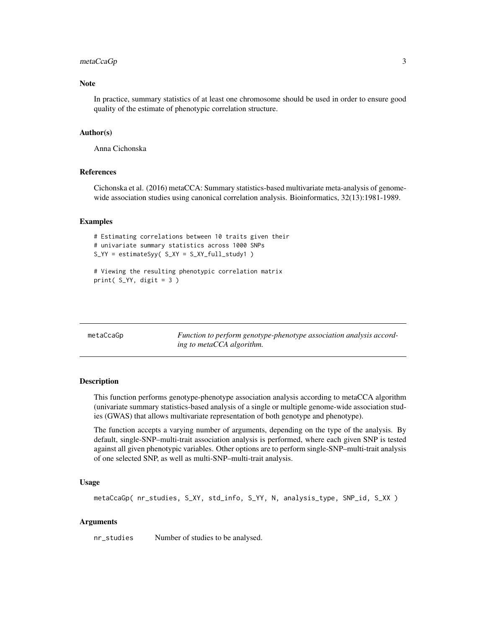# <span id="page-2-0"></span>metaCcaGp 3

#### **Note**

In practice, summary statistics of at least one chromosome should be used in order to ensure good quality of the estimate of phenotypic correlation structure.

#### Author(s)

Anna Cichonska

# References

Cichonska et al. (2016) metaCCA: Summary statistics-based multivariate meta-analysis of genomewide association studies using canonical correlation analysis. Bioinformatics, 32(13):1981-1989.

#### Examples

```
# Estimating correlations between 10 traits given their
# univariate summary statistics across 1000 SNPs
S_YY = estimateSyy( S_XY = S_XY_full_study1 )
```

```
# Viewing the resulting phenotypic correlation matrix
print(S_Y, digit = 3)
```

| metaCcaGp |  |  |
|-----------|--|--|
|           |  |  |

Function to perform genotype-phenotype association analysis accord*ing to metaCCA algorithm.*

## **Description**

This function performs genotype-phenotype association analysis according to metaCCA algorithm (univariate summary statistics-based analysis of a single or multiple genome-wide association studies (GWAS) that allows multivariate representation of both genotype and phenotype).

The function accepts a varying number of arguments, depending on the type of the analysis. By default, single-SNP–multi-trait association analysis is performed, where each given SNP is tested against all given phenotypic variables. Other options are to perform single-SNP–multi-trait analysis of one selected SNP, as well as multi-SNP–multi-trait analysis.

# Usage

```
metaCcaGp( nr_studies, S_XY, std_info, S_YY, N, analysis_type, SNP_id, S_XX )
```
# Arguments

nr\_studies Number of studies to be analysed.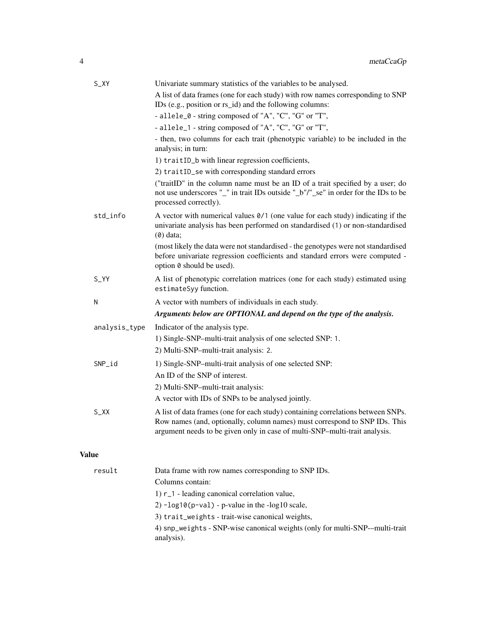|              | S_XY          | Univariate summary statistics of the variables to be analysed.                                                                                                                                                                               |
|--------------|---------------|----------------------------------------------------------------------------------------------------------------------------------------------------------------------------------------------------------------------------------------------|
|              |               | A list of data frames (one for each study) with row names corresponding to SNP<br>IDs (e.g., position or rs_id) and the following columns:                                                                                                   |
|              |               | - allele_0 - string composed of "A", "C", "G" or "T",                                                                                                                                                                                        |
|              |               | - allele_1 - string composed of "A", "C", "G" or "T",                                                                                                                                                                                        |
|              |               | - then, two columns for each trait (phenotypic variable) to be included in the<br>analysis; in turn:                                                                                                                                         |
|              |               | 1) traitID_b with linear regression coefficients,                                                                                                                                                                                            |
|              |               | 2) traitID_se with corresponding standard errors                                                                                                                                                                                             |
|              |               | ("traitID" in the column name must be an ID of a trait specified by a user; do<br>not use underscores "_" in trait IDs outside "_b"/"_se" in order for the IDs to be<br>processed correctly).                                                |
|              | std_info      | A vector with numerical values $\theta/1$ (one value for each study) indicating if the<br>univariate analysis has been performed on standardised (1) or non-standardised<br>$(0)$ data;                                                      |
|              |               | (most likely the data were not standardised - the genotypes were not standardised<br>before univariate regression coefficients and standard errors were computed -<br>option 0 should be used).                                              |
|              | $S_YY$        | A list of phenotypic correlation matrices (one for each study) estimated using<br>estimateSyy function.                                                                                                                                      |
|              | N             | A vector with numbers of individuals in each study.                                                                                                                                                                                          |
|              |               | Arguments below are OPTIONAL and depend on the type of the analysis.                                                                                                                                                                         |
|              | analysis_type | Indicator of the analysis type.                                                                                                                                                                                                              |
|              |               | 1) Single-SNP-multi-trait analysis of one selected SNP: 1.                                                                                                                                                                                   |
|              |               | 2) Multi-SNP-multi-trait analysis: 2.                                                                                                                                                                                                        |
|              | SNP_id        | 1) Single-SNP-multi-trait analysis of one selected SNP:                                                                                                                                                                                      |
|              |               | An ID of the SNP of interest.                                                                                                                                                                                                                |
|              |               | 2) Multi-SNP-multi-trait analysis:                                                                                                                                                                                                           |
|              |               | A vector with IDs of SNPs to be analysed jointly.                                                                                                                                                                                            |
|              | $S_{X}$       | A list of data frames (one for each study) containing correlations between SNPs.<br>Row names (and, optionally, column names) must correspond to SNP IDs. This<br>argument needs to be given only in case of multi-SNP-multi-trait analysis. |
| <b>Value</b> |               |                                                                                                                                                                                                                                              |
|              | result        | Data frame with row names corresponding to SNP IDs.                                                                                                                                                                                          |
|              |               | Columns contain:                                                                                                                                                                                                                             |
|              |               | 1) r_1 - leading canonical correlation value,                                                                                                                                                                                                |

- 2) -log10(p-val) p-value in the -log10 scale,
- 3) trait\_weights trait-wise canonical weights,
- 4) snp\_weights SNP-wise canonical weights (only for multi-SNP-–multi-trait analysis).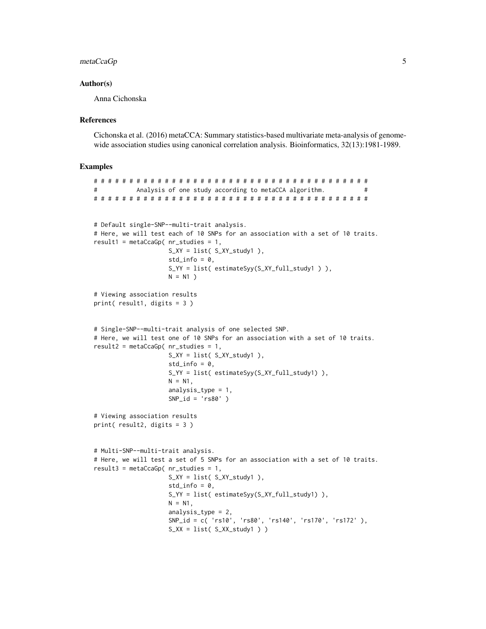# metaCcaGp 5

# Author(s)

Anna Cichonska

# **References**

Cichonska et al. (2016) metaCCA: Summary statistics-based multivariate meta-analysis of genomewide association studies using canonical correlation analysis. Bioinformatics, 32(13):1981-1989.

# Examples

```
# # # # # # # # # # # # # # # # # # # # # # # # # # # # # # # # # # # # # # #
# Analysis of one study according to metaCCA algorithm. #
# # # # # # # # # # # # # # # # # # # # # # # # # # # # # # # # # # # # # # #
# Default single-SNP--multi-trait analysis.
# Here, we will test each of 10 SNPs for an association with a set of 10 traits.
result1 = metaCcaGp( nr_studies = 1,
                    S_XY = list( S_XY_study1 ),std_info = 0,
                    S_YY = list( estimateSyy(S_XY_full_study1 ) ),
                    N = N1)
# Viewing association results
print( result1, digits = 3 )
# Single-SNP--multi-trait analysis of one selected SNP.
# Here, we will test one of 10 SNPs for an association with a set of 10 traits.
result2 = metaCcaGp( nr_studies = 1,
                    S_XY = list( S_XY_study1 ),std_info = 0,
                    S_YY = list( estimateSyy(S_XY_full_study1) ),
                    N = N1,
                    analysis_type = 1,
                    SNP_id = 'rs80')
# Viewing association results
print( result2, digits = 3 )
# Multi-SNP--multi-trait analysis.
# Here, we will test a set of 5 SNPs for an association with a set of 10 traits.
result3 = metaCcaGp( nr_studies = 1,
                    S_XY = list( S_XY_study1 ),
                    std_info = 0,
                    S_YY = list( estimateSyy(S_XY_full_study1) ),
                    N = N1,
                    analysis_type = 2,
                    SNP_id = c( 'rs10', 'rs80', 'rs140', 'rs170', 'rs172' ),
                    S_XX = list(S_XX_0, X_1)
```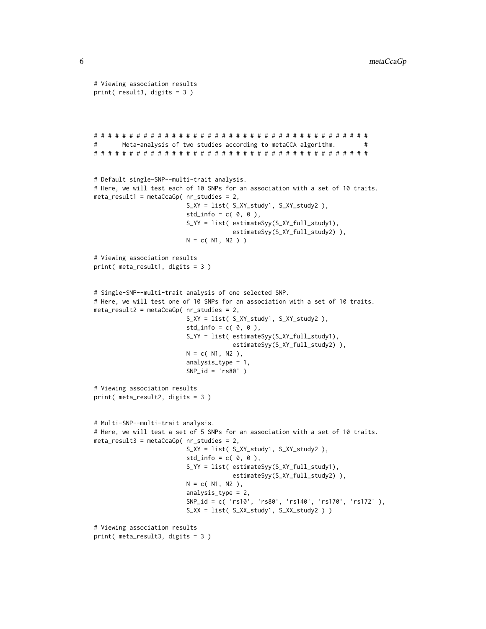```
# Viewing association results
print( result3, digits = 3 )
# # # # # # # # # # # # # # # # # # # # # # # # # # # # # # # # # # # # # # #
       Meta-analysis of two studies according to metaCCA algorithm. \## # # # # # # # # # # # # # # # # # # # # # # # # # # # # # # # # # # # # # #
# Default single-SNP--multi-trait analysis.
# Here, we will test each of 10 SNPs for an association with a set of 10 traits.
meta\_result1 = metaCcaGp( nr\_studies = 2,S_XY = list( S_XY_study1, S_XY_study2 ),
                         std_info = c( 0, 0 ),S_YY = list( estimateSyy(S_XY_full_study1),
                                      estimateSyy(S_XY_full_study2) ),
                         N = c(N1, N2)# Viewing association results
print( meta_result1, digits = 3 )
# Single-SNP--multi-trait analysis of one selected SNP.
# Here, we will test one of 10 SNPs for an association with a set of 10 traits.
meta\_result2 = metaCcaGp( nr_studies = 2,S_XY = list( S_XY_study1, S_XY_study2 ),
                          std_info = c( 0, 0 ),S_YY = list( estimateSyy(S_XY_full_study1),
                                      estimateSyy(S_XY_full_study2) ),
                         N = c(N1, N2),
                          analysis_type = 1,
                          SNP_id = 'rs80')
# Viewing association results
print( meta_result2, digits = 3 )
# Multi-SNP--multi-trait analysis.
# Here, we will test a set of 5 SNPs for an association with a set of 10 traits.
meta_result3 = metaCcaGp( nr_studies = 2,
                          S_XY = list( S_XY_study1, S_XY_study2 ),
                          std_info = c( 0, 0 ),S_YY = list( estimateSyy(S_XY_full_study1),
                                      estimateSyy(S_XY_full_study2) ),
                         N = c(N1, N2),
                          analysis_type = 2,
                          SNP_id = c( 'rs10', 'rs80', 'rs140', 'rs170', 'rs172' ),
                          S_XX = list( S_XX_study1, S_XX_study2 ) )
# Viewing association results
print( meta_result3, digits = 3 )
```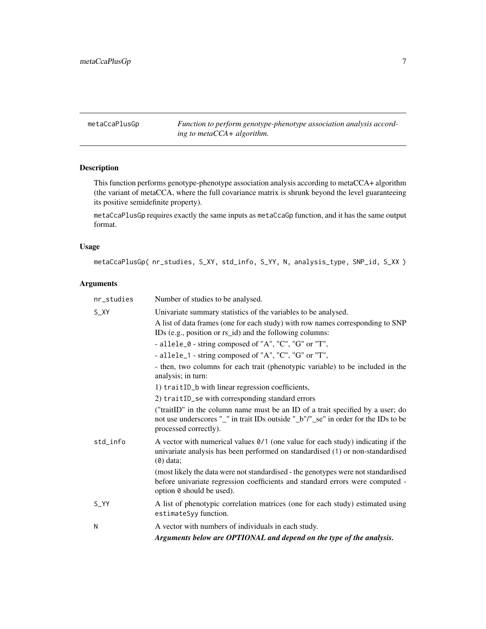<span id="page-6-0"></span>metaCcaPlusGp *Function to perform genotype-phenotype association analysis according to metaCCA+ algorithm.*

# Description

This function performs genotype-phenotype association analysis according to metaCCA+ algorithm (the variant of metaCCA, where the full covariance matrix is shrunk beyond the level guaranteeing its positive semidefinite property).

metaCcaPlusGp requires exactly the same inputs as metaCcaGp function, and it has the same output format.

# Usage

metaCcaPlusGp( nr\_studies, S\_XY, std\_info, S\_YY, N, analysis\_type, SNP\_id, S\_XX )

# Arguments

| nr_studies | Number of studies to be analysed.                                                                                                                                                               |
|------------|-------------------------------------------------------------------------------------------------------------------------------------------------------------------------------------------------|
| $S_X$      | Univariate summary statistics of the variables to be analysed.                                                                                                                                  |
|            | A list of data frames (one for each study) with row names corresponding to SNP<br>IDs (e.g., position or rs_id) and the following columns:                                                      |
|            | - allele_0 - string composed of "A", "C", "G" or "T",                                                                                                                                           |
|            | - allele_1 - string composed of "A", "C", "G" or "T",                                                                                                                                           |
|            | - then, two columns for each trait (phenotypic variable) to be included in the<br>analysis; in turn:                                                                                            |
|            | 1) traitID_b with linear regression coefficients,                                                                                                                                               |
|            | 2) traitID_se with corresponding standard errors                                                                                                                                                |
|            | ("traitID" in the column name must be an ID of a trait specified by a user; do<br>not use underscores "_" in trait IDs outside "_b"/"_se" in order for the IDs to be<br>processed correctly).   |
| std info   | A vector with numerical values $\theta/1$ (one value for each study) indicating if the<br>univariate analysis has been performed on standardised (1) or non-standardised<br>$(0)$ data;         |
|            | (most likely the data were not standardised - the genotypes were not standardised<br>before univariate regression coefficients and standard errors were computed -<br>option 0 should be used). |
| $S_YY$     | A list of phenotypic correlation matrices (one for each study) estimated using<br>estimateSyy function.                                                                                         |
| N          | A vector with numbers of individuals in each study.                                                                                                                                             |
|            | Arguments below are OPTIONAL and depend on the type of the analysis.                                                                                                                            |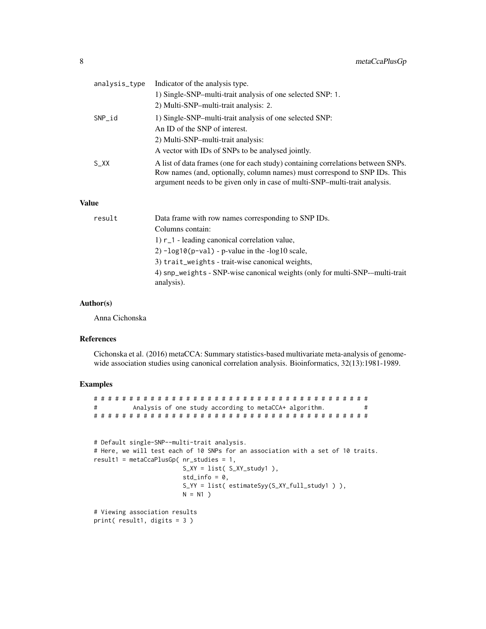|              | analysis_type | Indicator of the analysis type.                                                                                                                                                                                                              |
|--------------|---------------|----------------------------------------------------------------------------------------------------------------------------------------------------------------------------------------------------------------------------------------------|
|              |               | 1) Single-SNP-multi-trait analysis of one selected SNP: 1.                                                                                                                                                                                   |
|              |               | 2) Multi-SNP-multi-trait analysis: 2.                                                                                                                                                                                                        |
|              | $SNP_id$      | 1) Single-SNP-multi-trait analysis of one selected SNP:                                                                                                                                                                                      |
|              |               | An ID of the SNP of interest.                                                                                                                                                                                                                |
|              |               | 2) Multi-SNP-multi-trait analysis:                                                                                                                                                                                                           |
|              |               | A vector with IDs of SNPs to be analysed jointly.                                                                                                                                                                                            |
|              | $S_{X}$       | A list of data frames (one for each study) containing correlations between SNPs.<br>Row names (and, optionally, column names) must correspond to SNP IDs. This<br>argument needs to be given only in case of multi-SNP-multi-trait analysis. |
| <b>Value</b> |               |                                                                                                                                                                                                                                              |
|              | result        | Data frame with row names corresponding to SNP IDs.                                                                                                                                                                                          |
|              |               | Columns contain:                                                                                                                                                                                                                             |
|              |               | 1) r_1 - leading canonical correlation value,                                                                                                                                                                                                |

 $2)$  -log10(p-val) - p-value in the -log10 scale,

3) trait\_weights - trait-wise canonical weights,

4) snp\_weights - SNP-wise canonical weights (only for multi-SNP-–multi-trait analysis).

# Author(s)

Anna Cichonska

#### References

Cichonska et al. (2016) metaCCA: Summary statistics-based multivariate meta-analysis of genomewide association studies using canonical correlation analysis. Bioinformatics, 32(13):1981-1989.

# Examples

```
# # # # # # # # # # # # # # # # # # # # # # # # # # # # # # # # # # # # # # #
# Analysis of one study according to metaCCA+ algorithm. #
# # # # # # # # # # # # # # # # # # # # # # # # # # # # # # # # # # # # # # #
# Default single-SNP--multi-trait analysis.
# Here, we will test each of 10 SNPs for an association with a set of 10 traits.
result1 = metaCcaPlusGp( nr_studies = 1,
                        S_XY = list( S_XY_ - study1 ),std_info = 0,
                        S_YY = list( estimateSyy(S_XY_full_study1 ) ),
                        N = N1)
# Viewing association results
print( result1, digits = 3 )
```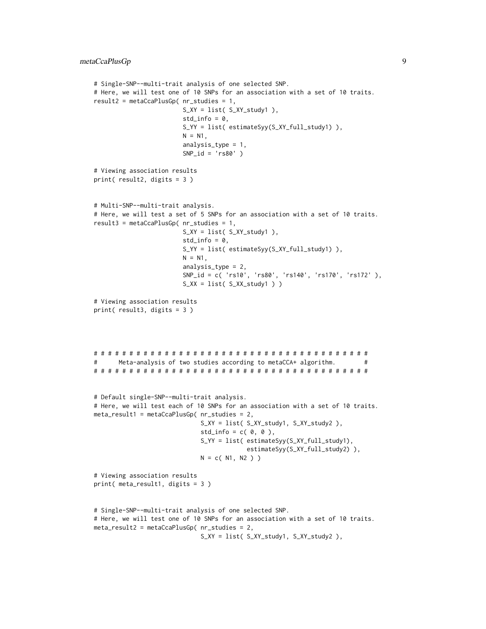```
# Single-SNP--multi-trait analysis of one selected SNP.
# Here, we will test one of 10 SNPs for an association with a set of 10 traits.
result2 = metaCcaPlusGp( nr_studies = 1,
                        S_XY = list( S_XY_study1),std_info = 0,S_YY = list( estimateSyy(S_XY_full_study1) ),
                        N = N1,
                        analysis_type = 1,
                        SNP_id = 'rs80')
# Viewing association results
print( result2, digits = 3 )
# Multi-SNP--multi-trait analysis.
# Here, we will test a set of 5 SNPs for an association with a set of 10 traits.
result3 = metaCcaPlusGp( nr_studies = 1,
                        S_XY = list( S_XY_study1 ),std_info = 0,S_YY = list( estimateSyy(S_XY_full_study1) ),
                        N = N1,
                        analysis_type = 2,
                        SNP_id = c( 'rs10', 'rs80', 'rs140', 'rs170', 'rs172' ),
                        S_XX = list(S_XX_{stdy1})# Viewing association results
print( result3, digits = 3 )
# # # # # # # # # # # # # # # # # # # # # # # # # # # # # # # # # # # # # # #
# Meta-analysis of two studies according to metaCCA+ algorithm. #
# # # # # # # # # # # # # # # # # # # # # # # # # # # # # # # # # # # # # # #
# Default single-SNP--multi-trait analysis.
# Here, we will test each of 10 SNPs for an association with a set of 10 traits.
meta_result1 = metaCcaPlusGp( nr_studies = 2,
                             S_XY = list( S_XY_study1, S_XY_study2 ),
                             std_info = c( 0, 0 ),S_YY = list( estimateSyy(S_XY_full_study1),
                                          estimateSyy(S_XY_full_study2) ),
                             N = c(N1, N2))
# Viewing association results
print( meta_result1, digits = 3 )
# Single-SNP--multi-trait analysis of one selected SNP.
# Here, we will test one of 10 SNPs for an association with a set of 10 traits.
meta_result2 = metaCcaPlusGp( nr_studies = 2,
```

```
S_XY = list( S_XY_study1, S_XY_study2 ),
```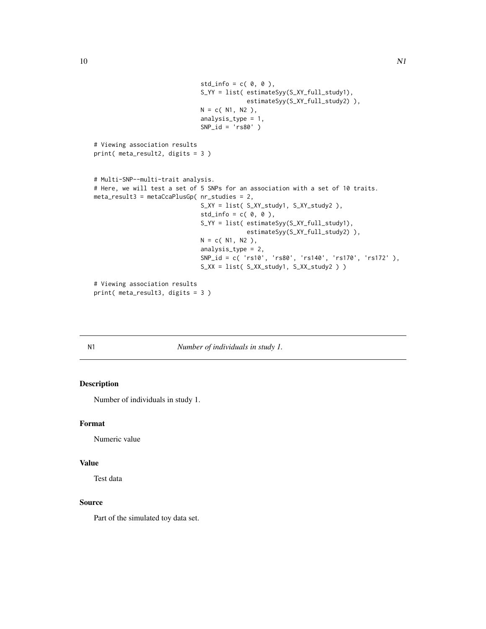```
std_info = c( 0, 0 ),S_YY = list( estimateSyy(S_XY_full_study1),
                                           estimateSyy(S_XY_full_study2) ),
                              N = c(N1, N2),analysis_type = 1,
                              SNP_id = 'rs80' )
# Viewing association results
print( meta_result2, digits = 3 )
# Multi-SNP--multi-trait analysis.
# Here, we will test a set of 5 SNPs for an association with a set of 10 traits.
meta_result3 = metaCcaPlusGp( nr_studies = 2,
                              S_XY = list( S_XY_study1, S_XY_study2 ),
                              std_info = c( 0, 0 ),S_YY = list( estimateSyy(S_XY_full_study1),
                                           estimateSyy(S_XY_full_study2) ),
                              N = c( N1, N2 ),
                              analysis_type = 2,
                              SNP_id = c( 'rs10', 'rs80', 'rs140', 'rs170', 'rs172' ),
                              S_XX = list( S_XX_study1, S_XX_study2 ) )
# Viewing association results
print( meta_result3, digits = 3 )
```
#### N1 *Number of individuals in study 1.*

# Description

Number of individuals in study 1.

# Format

Numeric value

#### Value

Test data

# Source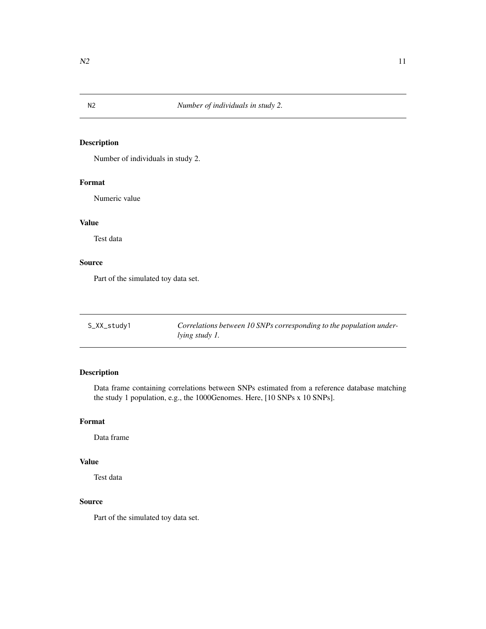<span id="page-10-0"></span>

# Description

Number of individuals in study 2.

# Format

Numeric value

# Value

Test data

# Source

Part of the simulated toy data set.

| S_XX_study1 | Correlations between 10 SNPs corresponding to the population under- |
|-------------|---------------------------------------------------------------------|
|             | <i>lying study 1.</i>                                               |

# Description

Data frame containing correlations between SNPs estimated from a reference database matching the study 1 population, e.g., the 1000Genomes. Here, [10 SNPs x 10 SNPs].

## Format

Data frame

# Value

Test data

# Source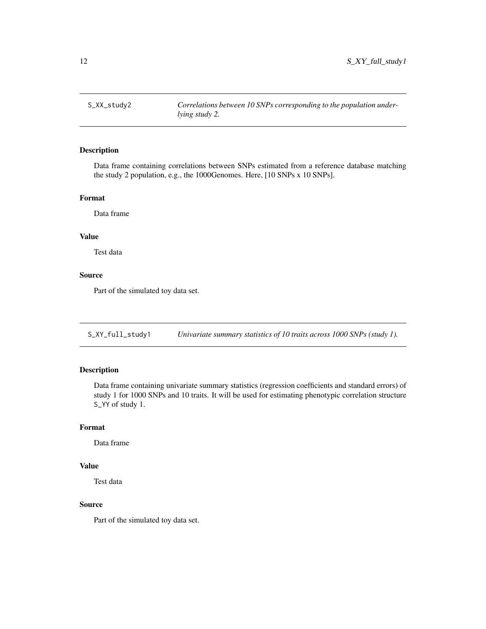<span id="page-11-0"></span>

# Description

Data frame containing correlations between SNPs estimated from a reference database matching the study 2 population, e.g., the 1000Genomes. Here, [10 SNPs x 10 SNPs].

#### Format

Data frame

#### Value

Test data

# Source

Part of the simulated toy data set.

S\_XY\_full\_study1 *Univariate summary statistics of 10 traits across 1000 SNPs (study 1).*

# Description

Data frame containing univariate summary statistics (regression coefficients and standard errors) of study 1 for 1000 SNPs and 10 traits. It will be used for estimating phenotypic correlation structure S\_YY of study 1.

# Format

Data frame

# Value

Test data

# Source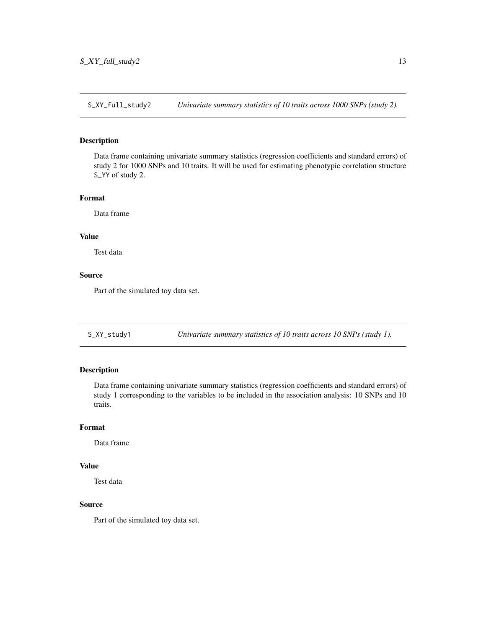<span id="page-12-0"></span>S\_XY\_full\_study2 *Univariate summary statistics of 10 traits across 1000 SNPs (study 2).*

# Description

Data frame containing univariate summary statistics (regression coefficients and standard errors) of study 2 for 1000 SNPs and 10 traits. It will be used for estimating phenotypic correlation structure S\_YY of study 2.

# Format

Data frame

#### Value

Test data

# Source

Part of the simulated toy data set.

S\_XY\_study1 *Univariate summary statistics of 10 traits across 10 SNPs (study 1).*

# Description

Data frame containing univariate summary statistics (regression coefficients and standard errors) of study 1 corresponding to the variables to be included in the association analysis: 10 SNPs and 10 traits.

# Format

Data frame

# Value

Test data

# Source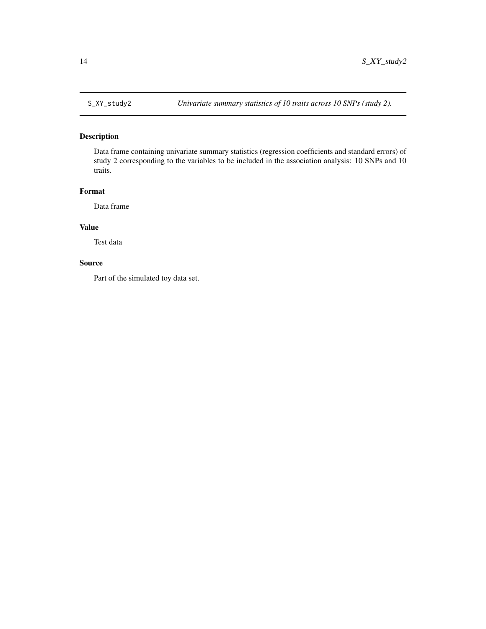<span id="page-13-0"></span>

# Description

Data frame containing univariate summary statistics (regression coefficients and standard errors) of study 2 corresponding to the variables to be included in the association analysis: 10 SNPs and 10 traits.

# Format

Data frame

# Value

Test data

# Source